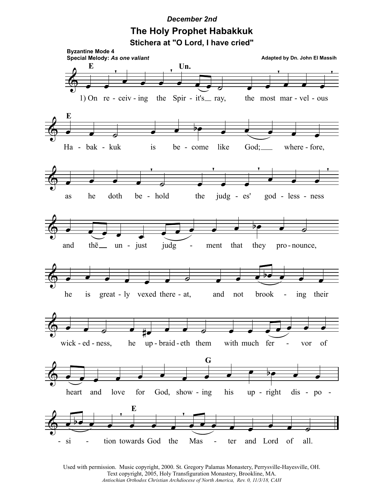## **December 2nd** The Holy Prophet Habakkuk Stichera at "O Lord, I have cried"



Used with permission. Music copyright, 2000. St. Gregory Palamas Monastery, Perrysville-Hayesville, OH. Text copyright, 2005, Holy Transfiguration Monastery, Brookline, MA. Antiochian Orthodox Christian Archdiocese of North America, Rev. 0, 11/3/18, CAH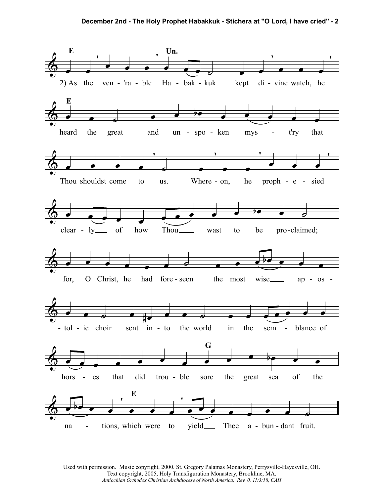

Used with permission. Music copyright, 2000. St. Gregory Palamas Monastery, Perrysville-Hayesville, OH. Text copyright, 2005, Holy Transfiguration Monastery, Brookline, MA. *Antiochian Orthodox Christian Archdiocese of North America, Rev. 0, 11/3/18, CAH*